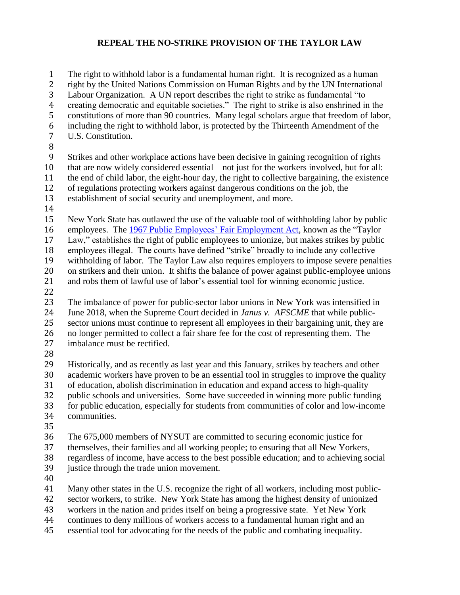## **REPEAL THE NO-STRIKE PROVISION OF THE TAYLOR LAW**

 The right to withhold labor is a fundamental human right. It is recognized as a human right by the United Nations Commission on Human Rights and by the UN International Labour Organization. A UN report describes the right to strike as fundamental "to creating democratic and equitable societies." The right to strike is also enshrined in the constitutions of more than 90 countries. Many legal scholars argue that freedom of labor, including the right to withhold labor, is protected by the Thirteenth Amendment of the U.S. Constitution. Strikes and other workplace actions have been decisive in gaining recognition of rights that are now widely considered essential—not just for the workers involved, but for all: the end of child labor, the eight-hour day, the right to collective bargaining, the existence of regulations protecting workers against dangerous conditions on the job, the establishment of social security and unemployment, and more. New York State has outlawed the use of the valuable tool of withholding labor by public 16 employees. The [1967 Public Employees' Fair Employment Act,](http://www.perb.ny.gov/taylor-law) known as the "Taylor" Law," establishes the right of public employees to unionize, but makes strikes by public employees illegal. The courts have defined "strike" broadly to include any collective withholding of labor. The Taylor Law also requires employers to impose severe penalties on strikers and their union. It shifts the balance of power against public-employee unions and robs them of lawful use of labor's essential tool for winning economic justice. The imbalance of power for public-sector labor unions in New York was intensified in June 2018, when the Supreme Court decided in *Janus v. AFSCME* that while public- sector unions must continue to represent all employees in their bargaining unit, they are no longer permitted to collect a fair share fee for the cost of representing them. The imbalance must be rectified. Historically, and as recently as last year and this January, strikes by teachers and other academic workers have proven to be an essential tool in struggles to improve the quality of education, abolish discrimination in education and expand access to high-quality

- public schools and universities. Some have succeeded in winning more public funding for public education, especially for students from communities of color and low-income communities.
- 

 The 675,000 members of NYSUT are committed to securing economic justice for themselves, their families and all working people; to ensuring that all New Yorkers, regardless of income, have access to the best possible education; and to achieving social

- justice through the trade union movement.
- 

Many other states in the U.S. recognize the right of all workers, including most public-

sector workers, to strike. New York State has among the highest density of unionized

workers in the nation and prides itself on being a progressive state. Yet New York

continues to deny millions of workers access to a fundamental human right and an

essential tool for advocating for the needs of the public and combating inequality.